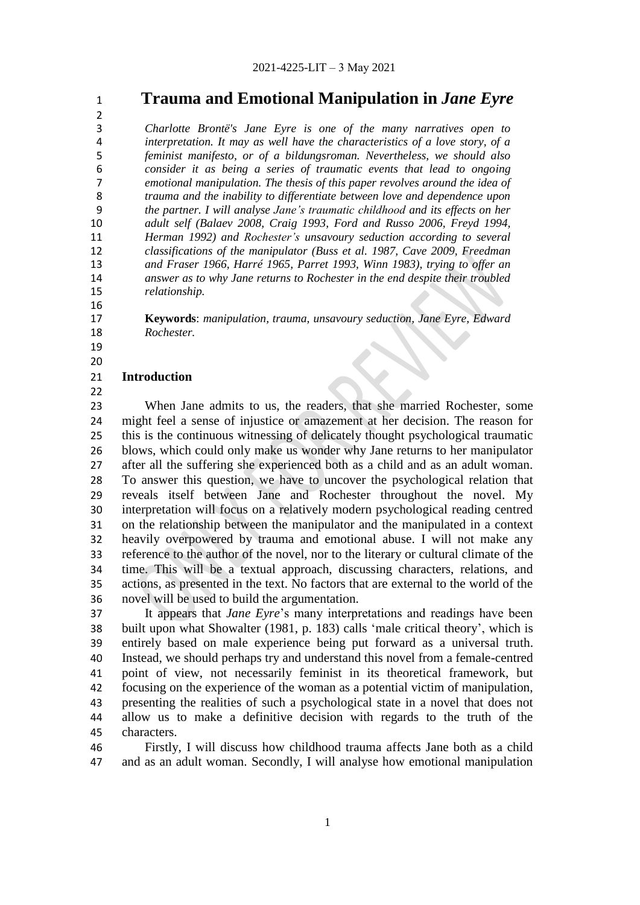**Trauma and Emotional Manipulation in** *Jane Eyre* 

 $\frac{2}{3}$  *Charlotte Brontë's Jane Eyre is one of the many narratives open to interpretation. It may as well have the characteristics of a love story, of a feminist manifesto, or of a bildungsroman. Nevertheless, we should also consider it as being a series of traumatic events that lead to ongoing emotional manipulation. The thesis of this paper revolves around the idea of trauma and the inability to differentiate between love and dependence upon the partner. I will analyse Jane's traumatic childhood and its effects on her adult self (Balaev 2008, Craig 1993, Ford and Russo 2006, Freyd 1994, Herman 1992) and Rochester's unsavoury seduction according to several classifications of the manipulator (Buss et al. 1987, Cave 2009, Freedman and Fraser 1966, Harré 1965, Parret 1993, Winn 1983), trying to offer an answer as to why Jane returns to Rochester in the end despite their troubled relationship.* 

 **Keywords**: *manipulation, trauma, unsavoury seduction, Jane Eyre, Edward Rochester.* 

# 

# **Introduction**

 When Jane admits to us, the readers, that she married Rochester, some might feel a sense of injustice or amazement at her decision. The reason for this is the continuous witnessing of delicately thought psychological traumatic blows, which could only make us wonder why Jane returns to her manipulator after all the suffering she experienced both as a child and as an adult woman. To answer this question, we have to uncover the psychological relation that reveals itself between Jane and Rochester throughout the novel. My interpretation will focus on a relatively modern psychological reading centred on the relationship between the manipulator and the manipulated in a context heavily overpowered by trauma and emotional abuse. I will not make any reference to the author of the novel, nor to the literary or cultural climate of the time. This will be a textual approach, discussing characters, relations, and actions, as presented in the text. No factors that are external to the world of the novel will be used to build the argumentation.

 It appears that *Jane Eyre*'s many interpretations and readings have been 38 built upon what Showalter (1981, p. 183) calls 'male critical theory', which is entirely based on male experience being put forward as a universal truth. Instead, we should perhaps try and understand this novel from a female-centred point of view, not necessarily feminist in its theoretical framework, but focusing on the experience of the woman as a potential victim of manipulation, presenting the realities of such a psychological state in a novel that does not allow us to make a definitive decision with regards to the truth of the characters.

 Firstly, I will discuss how childhood trauma affects Jane both as a child and as an adult woman. Secondly, I will analyse how emotional manipulation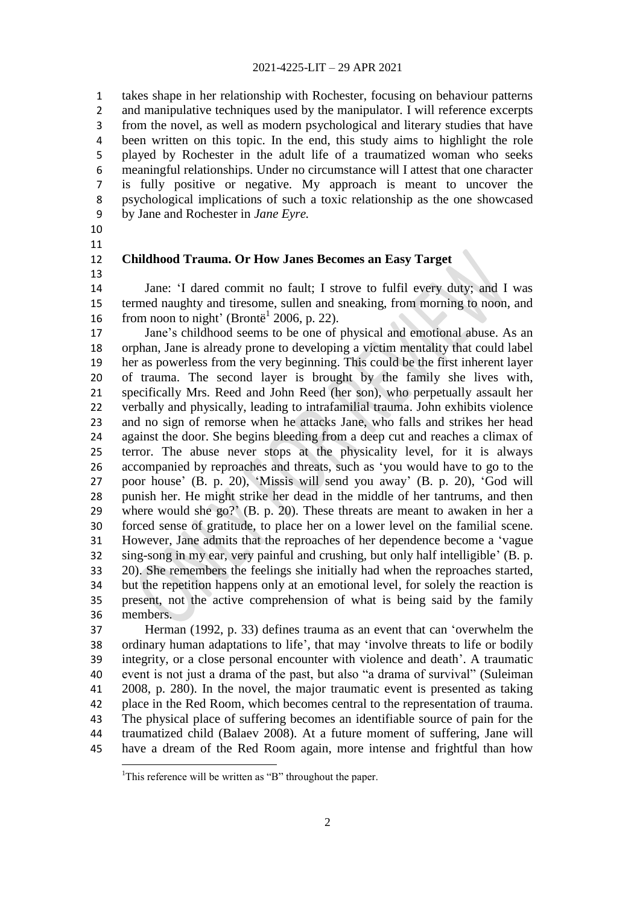takes shape in her relationship with Rochester, focusing on behaviour patterns 2 and manipulative techniques used by the manipulator. I will reference excerpts from the novel, as well as modern psychological and literary studies that have been written on this topic. In the end, this study aims to highlight the role played by Rochester in the adult life of a traumatized woman who seeks meaningful relationships. Under no circumstance will I attest that one character is fully positive or negative. My approach is meant to uncover the psychological implications of such a toxic relationship as the one showcased by Jane and Rochester in *Jane Eyre.*

 

 $\overline{a}$ 

### **Childhood Trauma. Or How Janes Becomes an Easy Target**

14 Jane: 'I dared commit no fault; I strove to fulfil every duty; and I was termed naughty and tiresome, sullen and sneaking, from morning to noon, and 16 from noon to night' (Brontë<sup>1</sup> 2006, p. 22).

 Jane's childhood seems to be one of physical and emotional abuse. As an orphan, Jane is already prone to developing a victim mentality that could label her as powerless from the very beginning. This could be the first inherent layer of trauma. The second layer is brought by the family she lives with, specifically Mrs. Reed and John Reed (her son), who perpetually assault her verbally and physically, leading to intrafamilial trauma. John exhibits violence and no sign of remorse when he attacks Jane, who falls and strikes her head against the door. She begins bleeding from a deep cut and reaches a climax of terror. The abuse never stops at the physicality level, for it is always 26 accompanied by reproaches and threats, such as 'you would have to go to the poor house' (B. p. 20), ‗Missis will send you away' (B. p. 20), ‗God will punish her. He might strike her dead in the middle of her tantrums, and then where would she go?' (B. p. 20). These threats are meant to awaken in her a forced sense of gratitude, to place her on a lower level on the familial scene. 31 However, Jane admits that the reproaches of her dependence become a 'vague sing-song in my ear, very painful and crushing, but only half intelligible' (B. p. 20). She remembers the feelings she initially had when the reproaches started, but the repetition happens only at an emotional level, for solely the reaction is present, not the active comprehension of what is being said by the family members.

37 Herman (1992, p. 33) defines trauma as an event that can 'overwhelm the 38 ordinary human adaptations to life', that may 'involve threats to life or bodily integrity, or a close personal encounter with violence and death'. A traumatic 40 event is not just a drama of the past, but also "a drama of survival" (Suleiman 2008, p. 280). In the novel, the major traumatic event is presented as taking place in the Red Room, which becomes central to the representation of trauma. The physical place of suffering becomes an identifiable source of pain for the traumatized child (Balaev 2008). At a future moment of suffering, Jane will have a dream of the Red Room again, more intense and frightful than how

<sup>&</sup>lt;sup>1</sup>This reference will be written as "B" throughout the paper.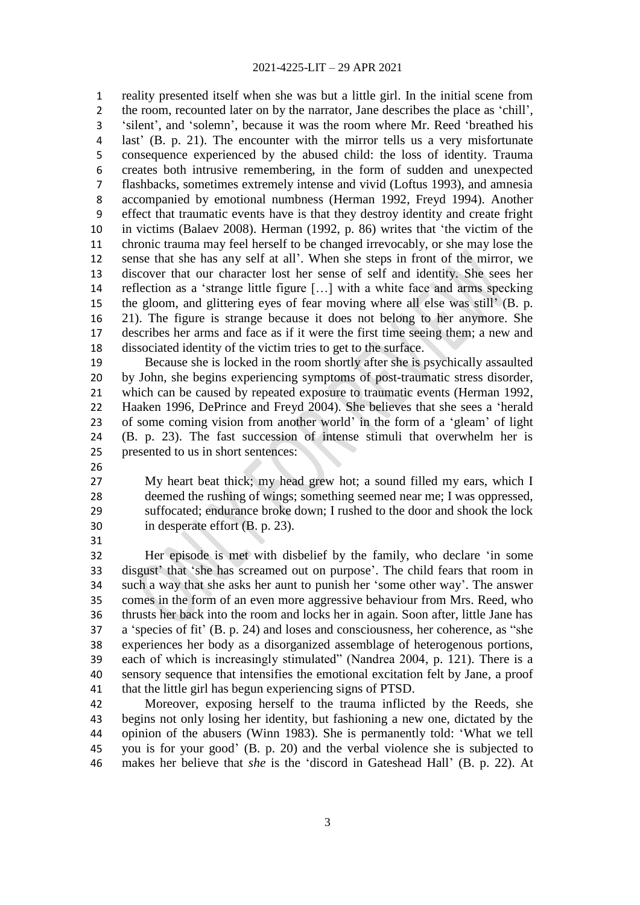reality presented itself when she was but a little girl. In the initial scene from 2 the room, recounted later on by the narrator, Jane describes the place as 'chill', 3 'silent', and 'solemn', because it was the room where Mr. Reed 'breathed his last' (B. p. 21). The encounter with the mirror tells us a very misfortunate consequence experienced by the abused child: the loss of identity. Trauma creates both intrusive remembering, in the form of sudden and unexpected flashbacks, sometimes extremely intense and vivid (Loftus 1993), and amnesia accompanied by emotional numbness (Herman 1992, Freyd 1994). Another effect that traumatic events have is that they destroy identity and create fright in victims (Balaev 2008). Herman (1992, p. 86) writes that ‗the victim of the chronic trauma may feel herself to be changed irrevocably, or she may lose the sense that she has any self at all'. When she steps in front of the mirror, we discover that our character lost her sense of self and identity. She sees her 14 reflection as a 'strange little figure [...] with a white face and arms specking the gloom, and glittering eyes of fear moving where all else was still' (B. p. 21). The figure is strange because it does not belong to her anymore. She describes her arms and face as if it were the first time seeing them; a new and dissociated identity of the victim tries to get to the surface.

 Because she is locked in the room shortly after she is psychically assaulted by John, she begins experiencing symptoms of post-traumatic stress disorder, which can be caused by repeated exposure to traumatic events (Herman 1992, 22 Haaken 1996, DePrince and Freyd 2004). She believes that she sees a 'herald of some coming vision from another world' in the form of a ‗gleam' of light (B. p. 23). The fast succession of intense stimuli that overwhelm her is presented to us in short sentences:

 My heart beat thick; my head grew hot; a sound filled my ears, which I deemed the rushing of wings; something seemed near me; I was oppressed, suffocated; endurance broke down; I rushed to the door and shook the lock in desperate effort (B. p. 23).

32 Her episode is met with disbelief by the family, who declare 'in some 33 disgust' that 'she has screamed out on purpose'. The child fears that room in such a way that she asks her aunt to punish her ‗some other way'. The answer comes in the form of an even more aggressive behaviour from Mrs. Reed, who thrusts her back into the room and locks her in again. Soon after, little Jane has 37 a 'species of fit' (B, p, 24) and loses and consciousness, her coherence, as "she experiences her body as a disorganized assemblage of heterogenous portions, 39 each of which is increasingly stimulated" (Nandrea 2004, p. 121). There is a sensory sequence that intensifies the emotional excitation felt by Jane, a proof that the little girl has begun experiencing signs of PTSD.

 Moreover, exposing herself to the trauma inflicted by the Reeds, she begins not only losing her identity, but fashioning a new one, dictated by the 44 opinion of the abusers (Winn 1983). She is permanently told: 'What we tell you is for your good' (B. p. 20) and the verbal violence she is subjected to 46 makes her believe that *she* is the 'discord in Gateshead Hall' (B. p. 22). At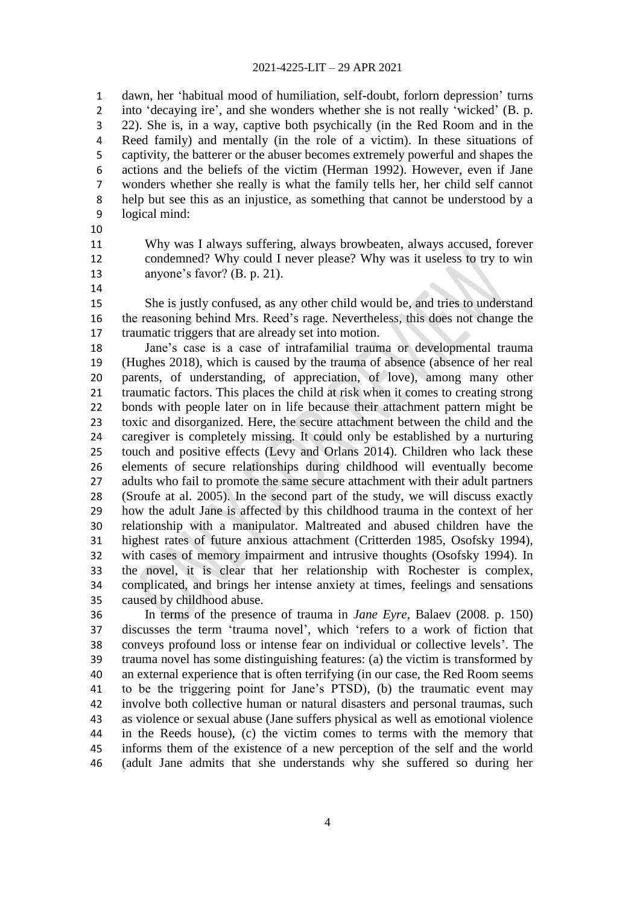dawn, her ‗habitual mood of humiliation, self-doubt, forlorn depression' turns 2 into 'decaying ire', and she wonders whether she is not really 'wicked' (B. p. 22). She is, in a way, captive both psychically (in the Red Room and in the Reed family) and mentally (in the role of a victim). In these situations of captivity, the batterer or the abuser becomes extremely powerful and shapes the actions and the beliefs of the victim (Herman 1992). However, even if Jane wonders whether she really is what the family tells her, her child self cannot help but see this as an injustice, as something that cannot be understood by a logical mind:

- 
- Why was I always suffering, always browbeaten, always accused, forever
- 
- condemned? Why could I never please? Why was it useless to try to win anyone's favor? (B. p. 21).
- 

 She is justly confused, as any other child would be, and tries to understand the reasoning behind Mrs. Reed's rage. Nevertheless, this does not change the traumatic triggers that are already set into motion.

 Jane's case is a case of intrafamilial trauma or developmental trauma (Hughes 2018), which is caused by the trauma of absence (absence of her real parents, of understanding, of appreciation, of love), among many other traumatic factors. This places the child at risk when it comes to creating strong bonds with people later on in life because their attachment pattern might be toxic and disorganized. Here, the secure attachment between the child and the caregiver is completely missing. It could only be established by a nurturing touch and positive effects (Levy and Orlans 2014). Children who lack these elements of secure relationships during childhood will eventually become adults who fail to promote the same secure attachment with their adult partners (Sroufe at al. 2005). In the second part of the study, we will discuss exactly how the adult Jane is affected by this childhood trauma in the context of her relationship with a manipulator. Maltreated and abused children have the highest rates of future anxious attachment (Critterden 1985, Osofsky 1994), with cases of memory impairment and intrusive thoughts (Osofsky 1994). In the novel, it is clear that her relationship with Rochester is complex, complicated, and brings her intense anxiety at times, feelings and sensations caused by childhood abuse.

 In terms of the presence of trauma in *Jane Eyre*, Balaev (2008. p. 150) discusses the term ‗trauma novel', which ‗refers to a work of fiction that conveys profound loss or intense fear on individual or collective levels'. The trauma novel has some distinguishing features: (a) the victim is transformed by an external experience that is often terrifying (in our case, the Red Room seems to be the triggering point for Jane's PTSD), (b) the traumatic event may involve both collective human or natural disasters and personal traumas, such as violence or sexual abuse (Jane suffers physical as well as emotional violence in the Reeds house), (c) the victim comes to terms with the memory that informs them of the existence of a new perception of the self and the world (adult Jane admits that she understands why she suffered so during her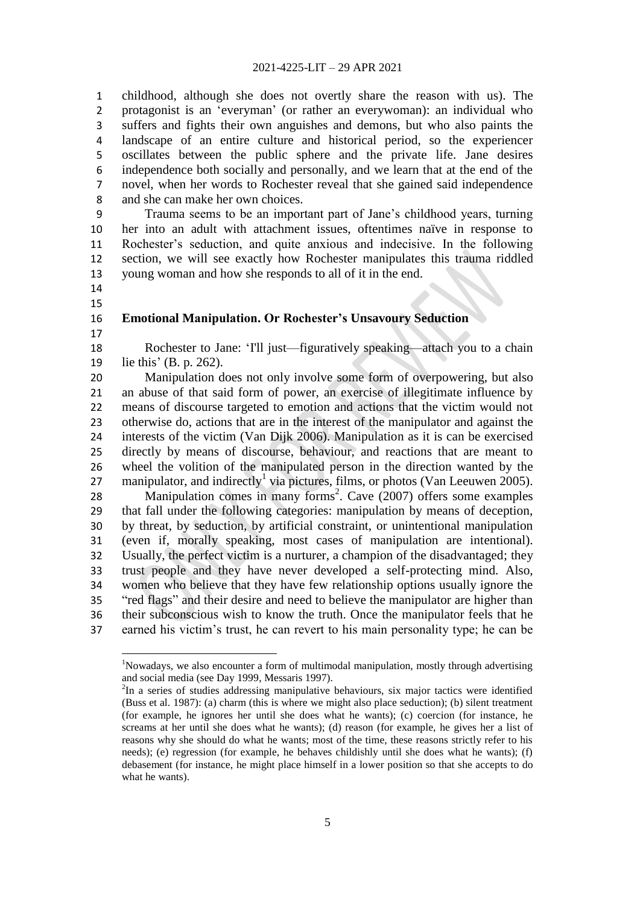childhood, although she does not overtly share the reason with us). The 2 protagonist is an 'everyman' (or rather an everywoman): an individual who suffers and fights their own anguishes and demons, but who also paints the landscape of an entire culture and historical period, so the experiencer oscillates between the public sphere and the private life. Jane desires independence both socially and personally, and we learn that at the end of the novel, when her words to Rochester reveal that she gained said independence and she can make her own choices.

 Trauma seems to be an important part of Jane's childhood years, turning her into an adult with attachment issues, oftentimes naïve in response to Rochester's seduction, and quite anxious and indecisive. In the following section, we will see exactly how Rochester manipulates this trauma riddled young woman and how she responds to all of it in the end.

 

# **Emotional Manipulation. Or Rochester's Unsavoury Seduction**

 $\overline{a}$ 

18 Rochester to Jane: 'I'll just—figuratively speaking—attach you to a chain lie this' (B. p. 262).

 Manipulation does not only involve some form of overpowering, but also an abuse of that said form of power, an exercise of illegitimate influence by means of discourse targeted to emotion and actions that the victim would not otherwise do, actions that are in the interest of the manipulator and against the interests of the victim (Van Dijk 2006). Manipulation as it is can be exercised directly by means of discourse, behaviour, and reactions that are meant to wheel the volition of the manipulated person in the direction wanted by the 27 manipulator, and indirectly<sup>1</sup> via pictures, films, or photos (Van Leeuwen 2005). 28 Manipulation comes in many forms<sup>2</sup>. Cave (2007) offers some examples

 that fall under the following categories: manipulation by means of deception, by threat, by seduction, by artificial constraint, or unintentional manipulation (even if, morally speaking, most cases of manipulation are intentional). Usually, the perfect victim is a nurturer, a champion of the disadvantaged; they trust people and they have never developed a self-protecting mind. Also, women who believe that they have few relationship options usually ignore the 35 "red flags" and their desire and need to believe the manipulator are higher than their subconscious wish to know the truth. Once the manipulator feels that he earned his victim's trust, he can revert to his main personality type; he can be

<sup>&</sup>lt;sup>1</sup>Nowadays, we also encounter a form of multimodal manipulation, mostly through advertising and social media (see Day 1999, Messaris 1997).

In a series of studies addressing manipulative behaviours, six major tactics were identified (Buss et al. 1987): (a) charm (this is where we might also place seduction); (b) silent treatment (for example, he ignores her until she does what he wants); (c) coercion (for instance, he screams at her until she does what he wants); (d) reason (for example, he gives her a list of reasons why she should do what he wants; most of the time, these reasons strictly refer to his needs); (e) regression (for example, he behaves childishly until she does what he wants); (f) debasement (for instance, he might place himself in a lower position so that she accepts to do what he wants).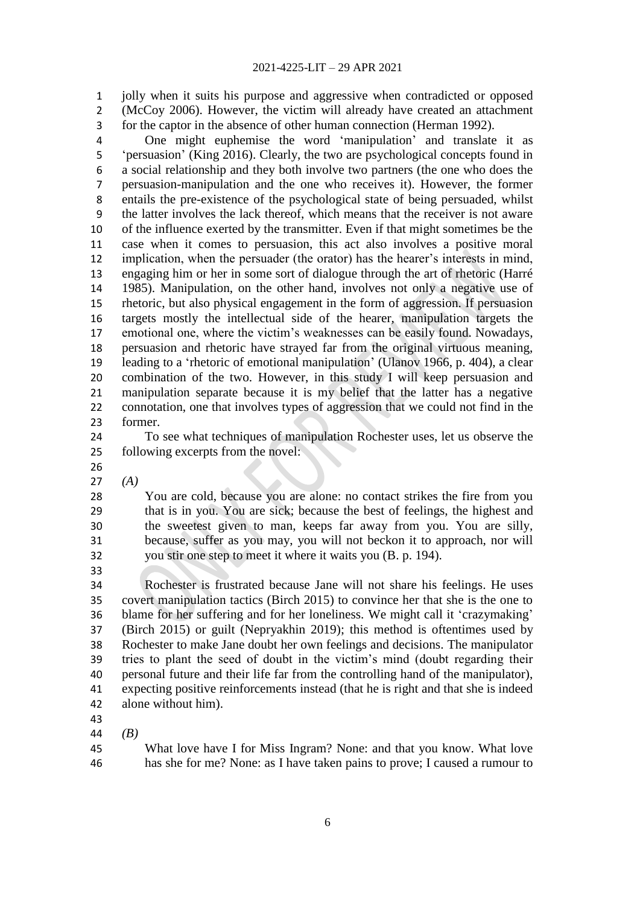jolly when it suits his purpose and aggressive when contradicted or opposed (McCoy 2006). However, the victim will already have created an attachment for the captor in the absence of other human connection (Herman 1992).

 One might euphemise the word ‗manipulation' and translate it as ‗persuasion' (King 2016). Clearly, the two are psychological concepts found in a social relationship and they both involve two partners (the one who does the persuasion-manipulation and the one who receives it). However, the former entails the pre-existence of the psychological state of being persuaded, whilst the latter involves the lack thereof, which means that the receiver is not aware of the influence exerted by the transmitter. Even if that might sometimes be the case when it comes to persuasion, this act also involves a positive moral implication, when the persuader (the orator) has the hearer's interests in mind, engaging him or her in some sort of dialogue through the art of rhetoric (Harré 1985). Manipulation, on the other hand, involves not only a negative use of rhetoric, but also physical engagement in the form of aggression. If persuasion targets mostly the intellectual side of the hearer, manipulation targets the emotional one, where the victim's weaknesses can be easily found. Nowadays, persuasion and rhetoric have strayed far from the original virtuous meaning, 19 leading to a 'rhetoric of emotional manipulation' (Ulanov 1966, p. 404), a clear combination of the two. However, in this study I will keep persuasion and manipulation separate because it is my belief that the latter has a negative connotation, one that involves types of aggression that we could not find in the former.

 To see what techniques of manipulation Rochester uses, let us observe the following excerpts from the novel:

*(A)*

 You are cold, because you are alone: no contact strikes the fire from you that is in you. You are sick; because the best of feelings, the highest and the sweetest given to man, keeps far away from you. You are silly, because, suffer as you may, you will not beckon it to approach, nor will you stir one step to meet it where it waits you (B. p. 194).

 Rochester is frustrated because Jane will not share his feelings. He uses covert manipulation tactics (Birch 2015) to convince her that she is the one to blame for her suffering and for her loneliness. We might call it ‗crazymaking' (Birch 2015) or guilt (Nepryakhin 2019); this method is oftentimes used by Rochester to make Jane doubt her own feelings and decisions. The manipulator tries to plant the seed of doubt in the victim's mind (doubt regarding their personal future and their life far from the controlling hand of the manipulator), expecting positive reinforcements instead (that he is right and that she is indeed alone without him).

*(B)*

 What love have I for Miss Ingram? None: and that you know. What love has she for me? None: as I have taken pains to prove; I caused a rumour to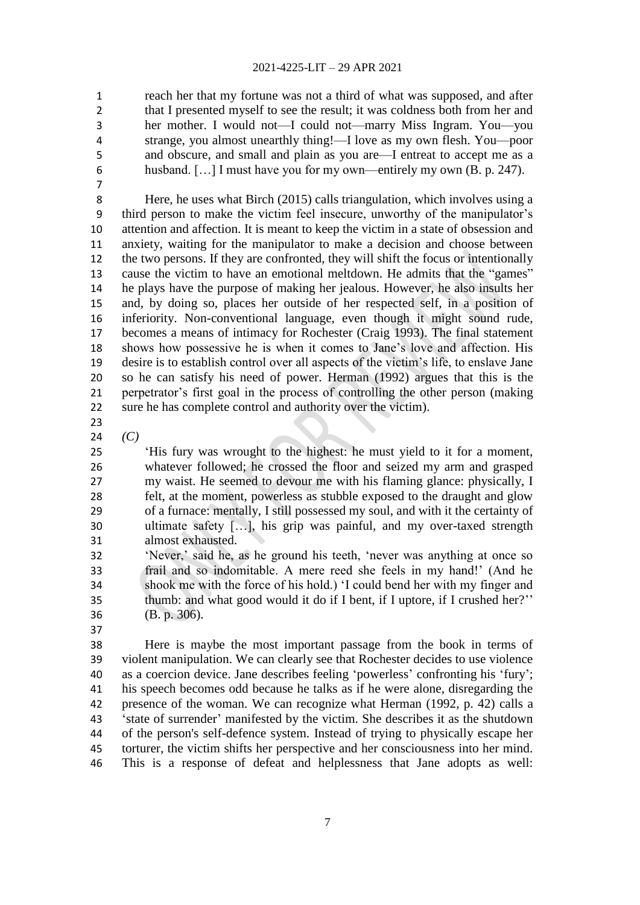reach her that my fortune was not a third of what was supposed, and after that I presented myself to see the result; it was coldness both from her and her mother. I would not—I could not—marry Miss Ingram. You—you strange, you almost unearthly thing!—I love as my own flesh. You—poor and obscure, and small and plain as you are—I entreat to accept me as a husband. […] I must have you for my own—entirely my own (B. p. 247).

 Here, he uses what Birch (2015) calls triangulation, which involves using a third person to make the victim feel insecure, unworthy of the manipulator's attention and affection. It is meant to keep the victim in a state of obsession and anxiety, waiting for the manipulator to make a decision and choose between the two persons. If they are confronted, they will shift the focus or intentionally 13 cause the victim to have an emotional meltdown. He admits that the "games" he plays have the purpose of making her jealous. However, he also insults her and, by doing so, places her outside of her respected self, in a position of inferiority. Non-conventional language, even though it might sound rude, becomes a means of intimacy for Rochester (Craig 1993). The final statement shows how possessive he is when it comes to Jane's love and affection. His desire is to establish control over all aspects of the victim's life, to enslave Jane so he can satisfy his need of power. Herman (1992) argues that this is the perpetrator's first goal in the process of controlling the other person (making sure he has complete control and authority over the victim).

- 
- *(C)*

 ‗His fury was wrought to the highest: he must yield to it for a moment, whatever followed; he crossed the floor and seized my arm and grasped my waist. He seemed to devour me with his flaming glance: physically, I felt, at the moment, powerless as stubble exposed to the draught and glow of a furnace: mentally, I still possessed my soul, and with it the certainty of ultimate safety […], his grip was painful, and my over-taxed strength almost exhausted.

- 32 'Never,' said he, as he ground his teeth, 'never was anything at once so frail and so indomitable. A mere reed she feels in my hand!' (And he shook me with the force of his hold.) ‗I could bend her with my finger and thumb: and what good would it do if I bent, if I uptore, if I crushed her?'' (B. p. 306).
- 

 Here is maybe the most important passage from the book in terms of violent manipulation. We can clearly see that Rochester decides to use violence 40 as a coercion device. Jane describes feeling 'powerless' confronting his 'fury'; his speech becomes odd because he talks as if he were alone, disregarding the presence of the woman. We can recognize what Herman (1992, p. 42) calls a ‗state of surrender' manifested by the victim. She describes it as the shutdown of the person's self-defence system. Instead of trying to physically escape her torturer, the victim shifts her perspective and her consciousness into her mind. This is a response of defeat and helplessness that Jane adopts as well: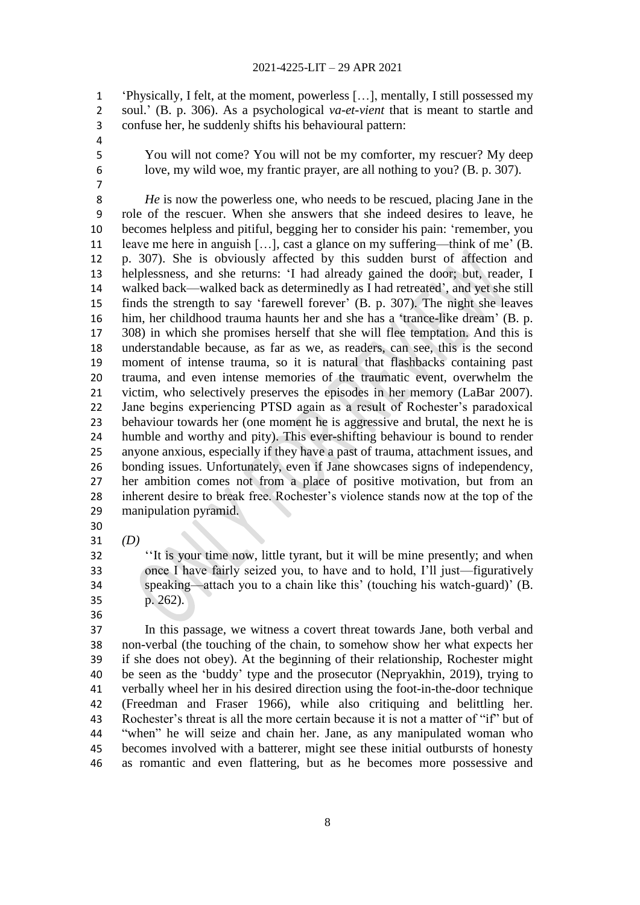‗Physically, I felt, at the moment, powerless […], mentally, I still possessed my soul.' (B. p. 306). As a psychological *va-et-vient* that is meant to startle and confuse her, he suddenly shifts his behavioural pattern:

 You will not come? You will not be my comforter, my rescuer? My deep love, my wild woe, my frantic prayer, are all nothing to you? (B. p. 307).

 *He* is now the powerless one, who needs to be rescued, placing Jane in the role of the rescuer. When she answers that she indeed desires to leave, he becomes helpless and pitiful, begging her to consider his pain: ‗remember, you leave me here in anguish […], cast a glance on my suffering—think of me' (B. p. 307). She is obviously affected by this sudden burst of affection and helplessness, and she returns: ‗I had already gained the door; but, reader, I walked back—walked back as determinedly as I had retreated', and yet she still 15 finds the strength to say 'farewell forever' (B. p. 307). The night she leaves 16 him, her childhood trauma haunts her and she has a 'trance-like dream' (B. p. 308) in which she promises herself that she will flee temptation. And this is understandable because, as far as we, as readers, can see, this is the second moment of intense trauma, so it is natural that flashbacks containing past trauma, and even intense memories of the traumatic event, overwhelm the victim, who selectively preserves the episodes in her memory (LaBar 2007). Jane begins experiencing PTSD again as a result of Rochester's paradoxical behaviour towards her (one moment he is aggressive and brutal, the next he is humble and worthy and pity). This ever-shifting behaviour is bound to render anyone anxious, especially if they have a past of trauma, attachment issues, and bonding issues. Unfortunately, even if Jane showcases signs of independency, her ambition comes not from a place of positive motivation, but from an inherent desire to break free. Rochester's violence stands now at the top of the manipulation pyramid. 

*(D)*

<sup>32</sup> <sup>"It is your time now, little tyrant, but it will be mine presently; and when</sup> once I have fairly seized you, to have and to hold, I'll just—figuratively speaking—attach you to a chain like this' (touching his watch-guard)' (B. p. 262).

 In this passage, we witness a covert threat towards Jane, both verbal and non-verbal (the touching of the chain, to somehow show her what expects her if she does not obey). At the beginning of their relationship, Rochester might 40 be seen as the 'buddy' type and the prosecutor (Nepryakhin, 2019), trying to verbally wheel her in his desired direction using the foot-in-the-door technique (Freedman and Fraser 1966), while also critiquing and belittling her. 43 Rochester's threat is all the more certain because it is not a matter of "if" but of 44 "when" he will seize and chain her. Jane, as any manipulated woman who becomes involved with a batterer, might see these initial outbursts of honesty as romantic and even flattering, but as he becomes more possessive and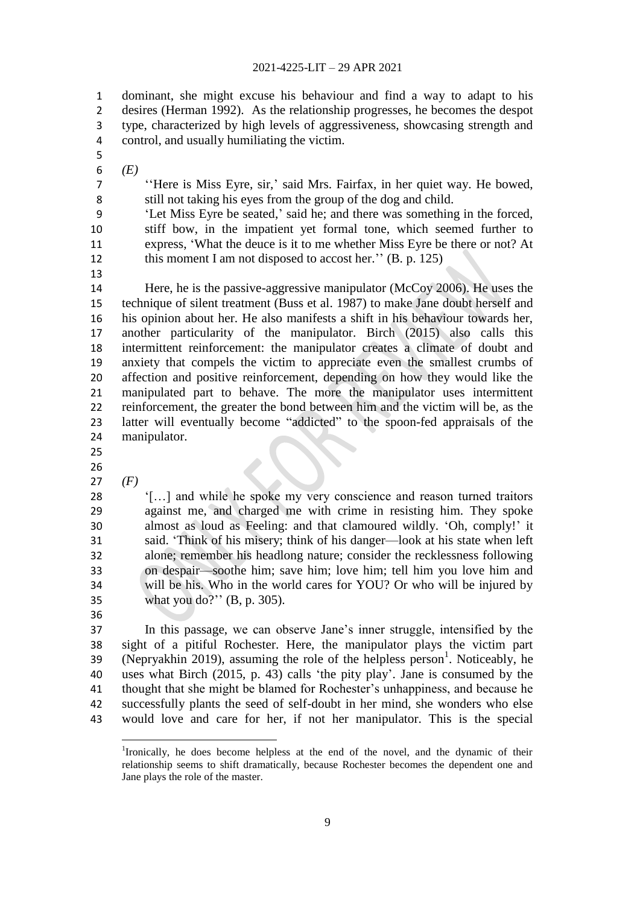dominant, she might excuse his behaviour and find a way to adapt to his desires (Herman 1992). As the relationship progresses, he becomes the despot type, characterized by high levels of aggressiveness, showcasing strength and control, and usually humiliating the victim.

- 
- *(E)*

7 
<sup>'</sup>Here is Miss Eyre, sir,' said Mrs. Fairfax, in her quiet way. He bowed, still not taking his eyes from the group of the dog and child.

 ‗Let Miss Eyre be seated,' said he; and there was something in the forced, stiff bow, in the impatient yet formal tone, which seemed further to express, ‗What the deuce is it to me whether Miss Eyre be there or not? At 12 this moment I am not disposed to accost her." (B. p. 125)

 Here, he is the passive-aggressive manipulator (McCoy 2006). He uses the technique of silent treatment (Buss et al. 1987) to make Jane doubt herself and his opinion about her. He also manifests a shift in his behaviour towards her, another particularity of the manipulator. Birch (2015) also calls this intermittent reinforcement: the manipulator creates a climate of doubt and anxiety that compels the victim to appreciate even the smallest crumbs of affection and positive reinforcement, depending on how they would like the manipulated part to behave. The more the manipulator uses intermittent reinforcement, the greater the bond between him and the victim will be, as the 23 latter will eventually become "addicted" to the spoon-fed appraisals of the manipulator.

- 
- *(F)*

28 (I...) and while he spoke my very conscience and reason turned traitors against me, and charged me with crime in resisting him. They spoke almost as loud as Feeling: and that clamoured wildly. ‗Oh, comply!' it said. ‗Think of his misery; think of his danger—look at his state when left alone; remember his headlong nature; consider the recklessness following on despair—soothe him; save him; love him; tell him you love him and will be his. Who in the world cares for YOU? Or who will be injured by what you do?'' (B, p. 305).

 $\overline{\phantom{a}}$ 

 In this passage, we can observe Jane's inner struggle, intensified by the sight of a pitiful Rochester. Here, the manipulator plays the victim part 39 (Nepryakhin 2019), assuming the role of the helpless person<sup>1</sup>. Noticeably, he uses what Birch (2015, p. 43) calls ‗the pity play'. Jane is consumed by the thought that she might be blamed for Rochester's unhappiness, and because he successfully plants the seed of self-doubt in her mind, she wonders who else would love and care for her, if not her manipulator. This is the special

<sup>&</sup>lt;sup>1</sup>Ironically, he does become helpless at the end of the novel, and the dynamic of their relationship seems to shift dramatically, because Rochester becomes the dependent one and Jane plays the role of the master.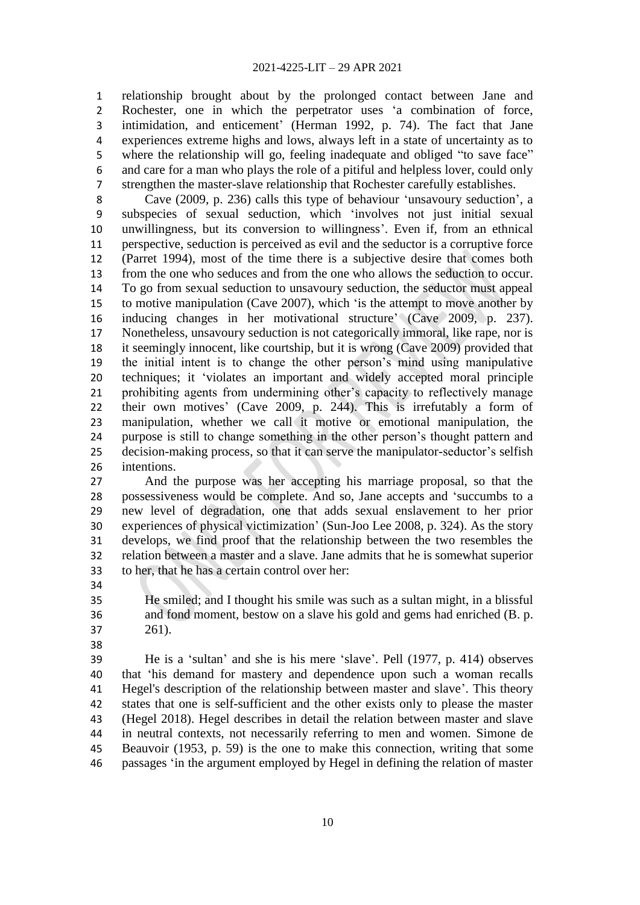relationship brought about by the prolonged contact between Jane and Rochester, one in which the perpetrator uses ‗a combination of force, intimidation, and enticement' (Herman 1992, p. 74). The fact that Jane experiences extreme highs and lows, always left in a state of uncertainty as to 5 where the relationship will go, feeling inadequate and obliged "to save face" and care for a man who plays the role of a pitiful and helpless lover, could only strengthen the master-slave relationship that Rochester carefully establishes.

8 Cave (2009, p. 236) calls this type of behaviour 'unsavoury seduction', a subspecies of sexual seduction, which ‗involves not just initial sexual unwillingness, but its conversion to willingness'. Even if, from an ethnical perspective, seduction is perceived as evil and the seductor is a corruptive force (Parret 1994), most of the time there is a subjective desire that comes both from the one who seduces and from the one who allows the seduction to occur. To go from sexual seduction to unsavoury seduction, the seductor must appeal to motive manipulation (Cave 2007), which ‗is the attempt to move another by inducing changes in her motivational structure' (Cave 2009, p. 237). Nonetheless, unsavoury seduction is not categorically immoral, like rape, nor is it seemingly innocent, like courtship, but it is wrong (Cave 2009) provided that the initial intent is to change the other person's mind using manipulative techniques; it ‗violates an important and widely accepted moral principle prohibiting agents from undermining other's capacity to reflectively manage their own motives' (Cave 2009, p. 244). This is irrefutably a form of manipulation, whether we call it motive or emotional manipulation, the purpose is still to change something in the other person's thought pattern and decision-making process, so that it can serve the manipulator-seductor's selfish intentions.

 And the purpose was her accepting his marriage proposal, so that the 28 possessiveness would be complete. And so, Jane accepts and 'succumbs to a new level of degradation, one that adds sexual enslavement to her prior experiences of physical victimization' (Sun-Joo Lee 2008, p. 324). As the story develops, we find proof that the relationship between the two resembles the relation between a master and a slave. Jane admits that he is somewhat superior to her, that he has a certain control over her:

 He smiled; and I thought his smile was such as a sultan might, in a blissful and fond moment, bestow on a slave his gold and gems had enriched (B. p. 261).

39 He is a 'sultan' and she is his mere 'slave'. Pell (1977, p. 414) observes that ‗his demand for mastery and dependence upon such a woman recalls Hegel's description of the relationship between master and slave'. This theory states that one is self-sufficient and the other exists only to please the master (Hegel 2018). Hegel describes in detail the relation between master and slave in neutral contexts, not necessarily referring to men and women. Simone de Beauvoir (1953, p. 59) is the one to make this connection, writing that some passages ‗in the argument employed by Hegel in defining the relation of master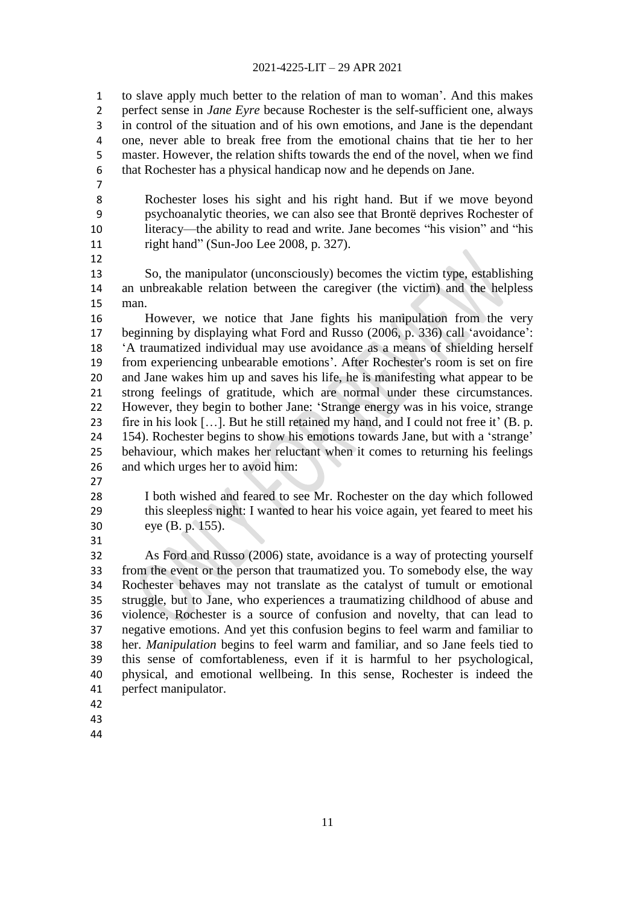to slave apply much better to the relation of man to woman'. And this makes perfect sense in *Jane Eyre* because Rochester is the self-sufficient one, always in control of the situation and of his own emotions, and Jane is the dependant one, never able to break free from the emotional chains that tie her to her master. However, the relation shifts towards the end of the novel, when we find that Rochester has a physical handicap now and he depends on Jane.

 Rochester loses his sight and his right hand. But if we move beyond psychoanalytic theories, we can also see that Brontë deprives Rochester of 10 literacy—the ability to read and write. Jane becomes "his vision" and "his 11 right hand" (Sun-Joo Lee 2008, p. 327).

 So, the manipulator (unconsciously) becomes the victim type, establishing an unbreakable relation between the caregiver (the victim) and the helpless man.

 However, we notice that Jane fights his manipulation from the very 17 beginning by displaying what Ford and Russo (2006, p. 336) call 'avoidance': ‗A traumatized individual may use avoidance as a means of shielding herself from experiencing unbearable emotions'. After Rochester's room is set on fire and Jane wakes him up and saves his life, he is manifesting what appear to be strong feelings of gratitude, which are normal under these circumstances. 22 However, they begin to bother Jane: 'Strange energy was in his voice, strange fire in his look […]. But he still retained my hand, and I could not free it' (B. p. 24 154). Rochester begins to show his emotions towards Jane, but with a 'strange' behaviour, which makes her reluctant when it comes to returning his feelings and which urges her to avoid him:

 I both wished and feared to see Mr. Rochester on the day which followed this sleepless night: I wanted to hear his voice again, yet feared to meet his eye (B. p. 155).

 As Ford and Russo (2006) state, avoidance is a way of protecting yourself from the event or the person that traumatized you. To somebody else, the way Rochester behaves may not translate as the catalyst of tumult or emotional struggle, but to Jane, who experiences a traumatizing childhood of abuse and violence, Rochester is a source of confusion and novelty, that can lead to negative emotions. And yet this confusion begins to feel warm and familiar to her. *Manipulation* begins to feel warm and familiar, and so Jane feels tied to this sense of comfortableness, even if it is harmful to her psychological, physical, and emotional wellbeing. In this sense, Rochester is indeed the perfect manipulator.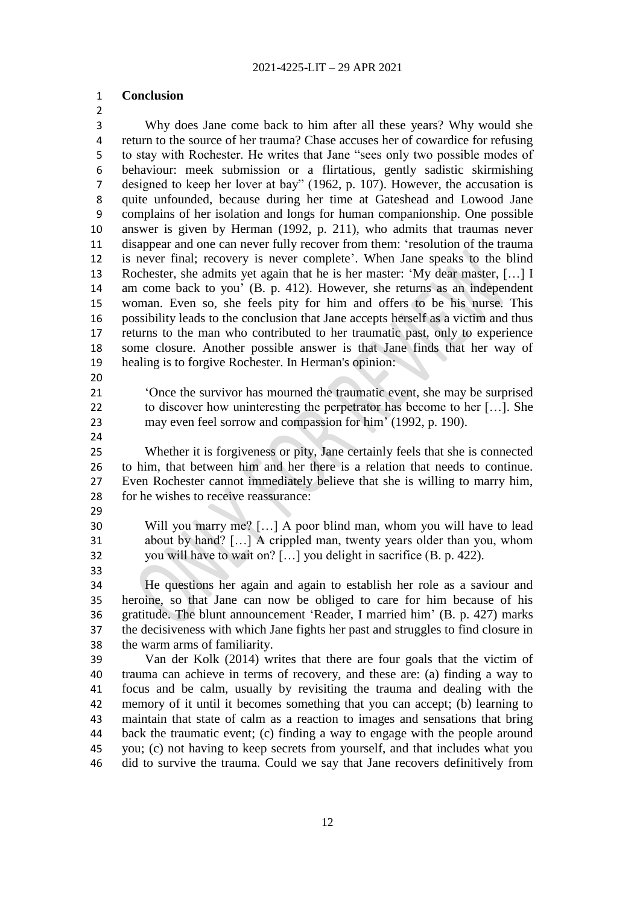# **Conclusion**

 Why does Jane come back to him after all these years? Why would she return to the source of her trauma? Chase accuses her of cowardice for refusing 5 to stay with Rochester. He writes that Jane "sees only two possible modes of behaviour: meek submission or a flirtatious, gently sadistic skirmishing 7 designed to keep her lover at bay" (1962, p. 107). However, the accusation is quite unfounded, because during her time at Gateshead and Lowood Jane complains of her isolation and longs for human companionship. One possible answer is given by Herman (1992, p. 211), who admits that traumas never disappear and one can never fully recover from them: ‗resolution of the trauma is never final; recovery is never complete'. When Jane speaks to the blind 13 Rochester, she admits yet again that he is her master: 'My dear master, [...] I am come back to you' (B. p. 412). However, she returns as an independent woman. Even so, she feels pity for him and offers to be his nurse. This possibility leads to the conclusion that Jane accepts herself as a victim and thus returns to the man who contributed to her traumatic past, only to experience some closure. Another possible answer is that Jane finds that her way of healing is to forgive Rochester. In Herman's opinion:

21 • Once the survivor has mourned the traumatic event, she may be surprised to discover how uninteresting the perpetrator has become to her […]. She may even feel sorrow and compassion for him' (1992, p. 190).

 Whether it is forgiveness or pity, Jane certainly feels that she is connected to him, that between him and her there is a relation that needs to continue. Even Rochester cannot immediately believe that she is willing to marry him, for he wishes to receive reassurance:

 Will you marry me? […] A poor blind man, whom you will have to lead about by hand? […] A crippled man, twenty years older than you, whom you will have to wait on? […] you delight in sacrifice (B. p. 422).

 He questions her again and again to establish her role as a saviour and heroine, so that Jane can now be obliged to care for him because of his 36 gratitude. The blunt announcement 'Reader, I married him' (B. p. 427) marks the decisiveness with which Jane fights her past and struggles to find closure in

the warm arms of familiarity.

 Van der Kolk (2014) writes that there are four goals that the victim of trauma can achieve in terms of recovery, and these are: (a) finding a way to focus and be calm, usually by revisiting the trauma and dealing with the memory of it until it becomes something that you can accept; (b) learning to maintain that state of calm as a reaction to images and sensations that bring back the traumatic event; (c) finding a way to engage with the people around you; (c) not having to keep secrets from yourself, and that includes what you did to survive the trauma. Could we say that Jane recovers definitively from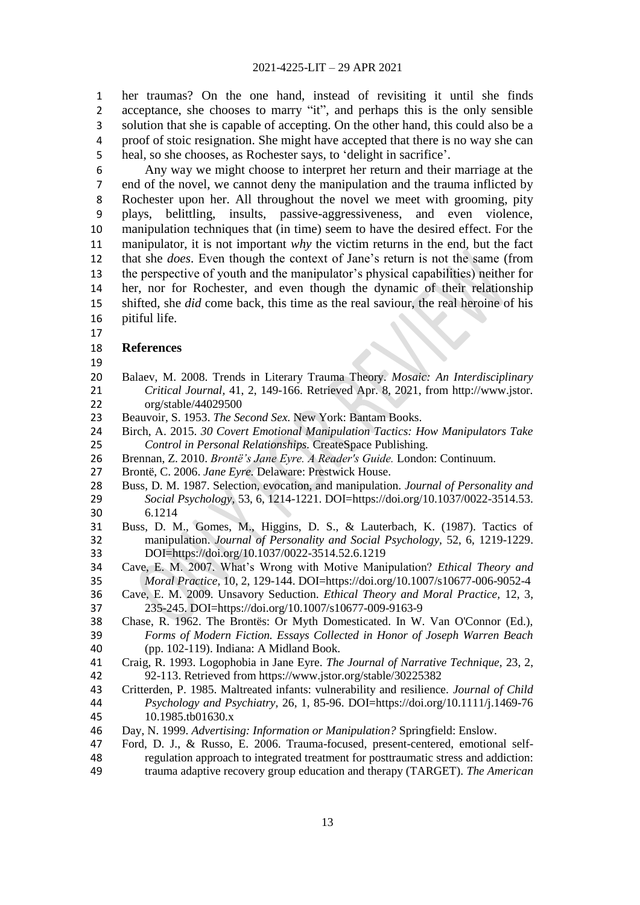her traumas? On the one hand, instead of revisiting it until she finds 2 acceptance, she chooses to marry "it", and perhaps this is the only sensible solution that she is capable of accepting. On the other hand, this could also be a proof of stoic resignation. She might have accepted that there is no way she can heal, so she chooses, as Rochester says, to ‗delight in sacrifice'.

 Any way we might choose to interpret her return and their marriage at the end of the novel, we cannot deny the manipulation and the trauma inflicted by Rochester upon her. All throughout the novel we meet with grooming, pity plays, belittling, insults, passive-aggressiveness, and even violence, manipulation techniques that (in time) seem to have the desired effect. For the manipulator, it is not important *why* the victim returns in the end, but the fact that she *does*. Even though the context of Jane's return is not the same (from the perspective of youth and the manipulator's physical capabilities) neither for her, nor for Rochester, and even though the dynamic of their relationship shifted, she *did* come back, this time as the real saviour, the real heroine of his pitiful life.

### **References**

- 
- Balaev, M. 2008. Trends in Literary Trauma Theory. *Mosaic: An Interdisciplinary Critical Journal,* 41, 2, 149-166. Retrieved Apr. 8, 2021, from http://www.jstor. org/stable/44029500
- Beauvoir, S. 1953. *The Second Sex.* New York: Bantam Books.
- Birch, A. 2015. *30 Covert Emotional Manipulation Tactics: How Manipulators Take Control in Personal Relationships.* CreateSpace Publishing.
- Brennan, Z. 2010. *Brontë's Jane Eyre. A Reader's Guide.* London: Continuum.
- Brontë, C. 2006. *Jane Eyre.* Delaware: Prestwick House.
- Buss, D. M. 1987. Selection, evocation, and manipulation. *Journal of Personality and Social Psychology,* 53, 6, 1214-1221. DOI=https://doi.org/10.1037/0022-3514.53. 6.1214
- Buss, D. M., Gomes, M., Higgins, D. S., & Lauterbach, K. (1987). Tactics of manipulation. *Journal of Personality and Social Psychology,* 52, 6, 1219-1229. DOI=https://doi.org/10.1037/0022-3514.52.6.1219
- Cave, E. M. 2007. What's Wrong with Motive Manipulation? *Ethical Theory and Moral Practice,* 10, 2, 129-144. DOI=https://doi.org/10.1007/s10677-006-9052-4
- Cave, E. M. 2009. Unsavory Seduction. *Ethical Theory and Moral Practice,* 12, 3, 235-245. DOI=https://doi.org/10.1007/s10677-009-9163-9
- Chase, R. 1962. The Brontës: Or Myth Domesticated. In W. Van O'Connor (Ed.), *Forms of Modern Fiction. Essays Collected in Honor of Joseph Warren Beach* (pp. 102-119). Indiana: A Midland Book.
- Craig, R. 1993. Logophobia in Jane Eyre. *The Journal of Narrative Technique,* 23, 2, 92-113. Retrieved from https://www.jstor.org/stable/30225382
- Critterden, P. 1985. Maltreated infants: vulnerability and resilience. *Journal of Child Psychology and Psychiatry,* 26, 1, 85-96. DOI=https://doi.org/10.1111/j.1469-76 10.1985.tb01630.x
- Day, N. 1999. *Advertising: Information or Manipulation?* Springfield: Enslow.
- Ford, D. J., & Russo, E. 2006. Trauma-focused, present-centered, emotional self-regulation approach to integrated treatment for posttraumatic stress and addiction:
- trauma adaptive recovery group education and therapy (TARGET). *The American*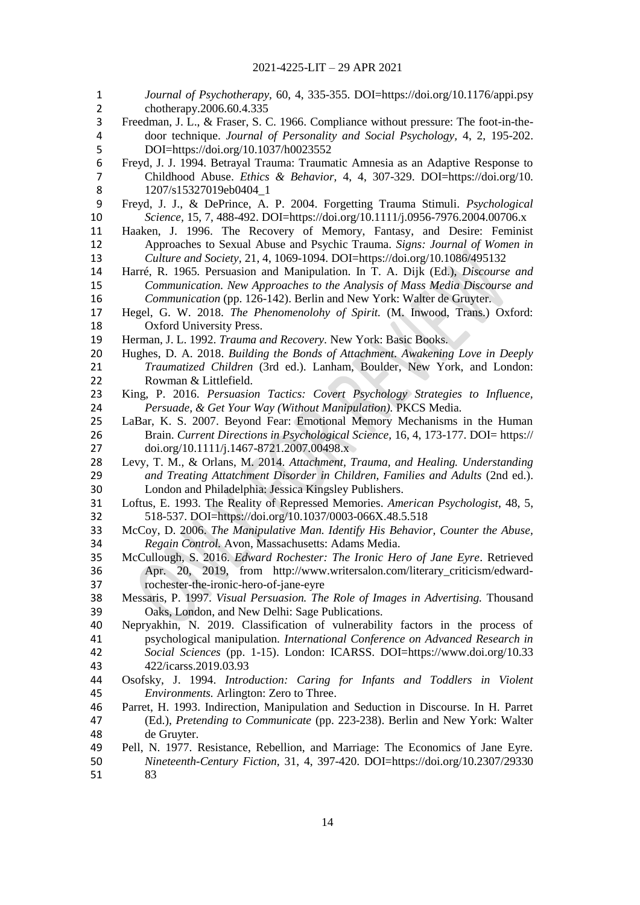| 1<br>$\overline{2}$ | Journal of Psychotherapy, 60, 4, 335-355. DOI=https://doi.org/10.1176/appi.psy<br>chotherapy.2006.60.4.335 |
|---------------------|------------------------------------------------------------------------------------------------------------|
| 3                   | Freedman, J. L., & Fraser, S. C. 1966. Compliance without pressure: The foot-in-the-                       |
| 4                   | door technique. Journal of Personality and Social Psychology, 4, 2, 195-202.                               |
| 5                   | DOI=https://doi.org/10.1037/h0023552                                                                       |
| 6                   |                                                                                                            |
|                     | Freyd, J. J. 1994. Betrayal Trauma: Traumatic Amnesia as an Adaptive Response to                           |
| 7                   | Childhood Abuse. Ethics & Behavior, 4, 4, 307-329. DOI=https://doi.org/10.                                 |
| 8                   | 1207/s15327019eb0404_1                                                                                     |
| 9                   | Freyd, J. J., & DePrince, A. P. 2004. Forgetting Trauma Stimuli. Psychological                             |
| 10                  | Science, 15, 7, 488-492. DOI=https://doi.org/10.1111/j.0956-7976.2004.00706.x                              |
| 11                  | Haaken, J. 1996. The Recovery of Memory, Fantasy, and Desire: Feminist                                     |
| 12                  | Approaches to Sexual Abuse and Psychic Trauma. Signs: Journal of Women in                                  |
| 13                  | Culture and Society, 21, 4, 1069-1094. DOI=https://doi.org/10.1086/495132                                  |
| 14                  | Harré, R. 1965. Persuasion and Manipulation. In T. A. Dijk (Ed.), Discourse and                            |
| 15                  | Communication. New Approaches to the Analysis of Mass Media Discourse and                                  |
| 16                  | Communication (pp. 126-142). Berlin and New York: Walter de Gruyter.                                       |
| 17                  | Hegel, G. W. 2018. The Phenomenolohy of Spirit. (M. Inwood, Trans.) Oxford:                                |
| 18                  | <b>Oxford University Press.</b>                                                                            |
| 19                  | Herman, J. L. 1992. Trauma and Recovery. New York: Basic Books.                                            |
| 20                  | Hughes, D. A. 2018. Building the Bonds of Attachment. Awakening Love in Deeply                             |
| 21                  | Traumatized Children (3rd ed.). Lanham, Boulder, New York, and London:                                     |
| 22                  | Rowman & Littlefield.                                                                                      |
| 23                  | King, P. 2016. Persuasion Tactics: Covert Psychology Strategies to Influence,                              |
| 24                  | Persuade, & Get Your Way (Without Manipulation). PKCS Media.                                               |
| 25                  | LaBar, K. S. 2007. Beyond Fear: Emotional Memory Mechanisms in the Human                                   |
| 26                  | Brain. Current Directions in Psychological Science, 16, 4, 173-177. DOI= https://                          |
| 27                  | doi.org/10.1111/j.1467-8721.2007.00498.x                                                                   |
| 28                  | Levy, T. M., & Orlans, M. 2014. Attachment, Trauma, and Healing. Understanding                             |
| 29                  | and Treating Attatchment Disorder in Children, Families and Adults (2nd ed.).                              |
| 30                  | London and Philadelphia: Jessica Kingsley Publishers.                                                      |
| 31                  | Loftus, E. 1993. The Reality of Repressed Memories. American Psychologist, 48, 5,                          |
| 32                  | 518-537. DOI=https://doi.org/10.1037/0003-066X.48.5.518                                                    |
| 33                  | McCoy, D. 2006. The Manipulative Man. Identify His Behavior, Counter the Abuse,                            |
| 34                  | Regain Control. Avon, Massachusetts: Adams Media.                                                          |
| 35                  | McCullough, S. 2016. Edward Rochester: The Ironic Hero of Jane Eyre. Retrieved                             |
| 36                  | Apr. 20, 2019, from http://www.writersalon.com/literary_criticism/edward-                                  |
| 37                  | rochester-the-ironic-hero-of-jane-eyre                                                                     |
| 38                  | Messaris, P. 1997. Visual Persuasion. The Role of Images in Advertising. Thousand                          |
| 39                  | Oaks, London, and New Delhi: Sage Publications.                                                            |
| 40                  | Nepryakhin, N. 2019. Classification of vulnerability factors in the process of                             |
| 41                  | psychological manipulation. International Conference on Advanced Research in                               |
| 42                  | Social Sciences (pp. 1-15). London: ICARSS. DOI=https://www.doi.org/10.33                                  |
| 43                  | 422/icarss.2019.03.93                                                                                      |
| 44                  | Osofsky, J. 1994. Introduction: Caring for Infants and Toddlers in Violent                                 |
| 45                  | Environments. Arlington: Zero to Three.                                                                    |
| 46                  | Parret, H. 1993. Indirection, Manipulation and Seduction in Discourse. In H. Parret                        |
| 47                  | (Ed.), Pretending to Communicate (pp. 223-238). Berlin and New York: Walter                                |
| 48                  | de Gruyter.                                                                                                |
| 49                  | Pell, N. 1977. Resistance, Rebellion, and Marriage: The Economics of Jane Eyre.                            |
| 50                  | Nineteenth-Century Fiction, 31, 4, 397-420. DOI=https://doi.org/10.2307/29330                              |
| 51                  | 83                                                                                                         |
|                     |                                                                                                            |